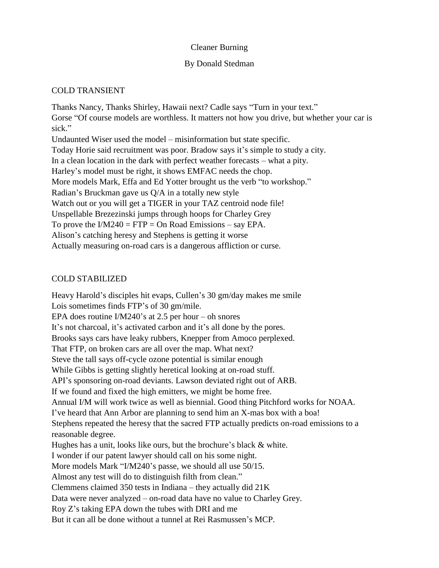### Cleaner Burning

### By Donald Stedman

# COLD TRANSIENT

Thanks Nancy, Thanks Shirley, Hawaii next? Cadle says "Turn in your text." Gorse "Of course models are worthless. It matters not how you drive, but whether your car is sick." Undaunted Wiser used the model – misinformation but state specific. Today Horie said recruitment was poor. Bradow says it's simple to study a city. In a clean location in the dark with perfect weather forecasts – what a pity. Harley's model must be right, it shows EMFAC needs the chop. More models Mark, Effa and Ed Yotter brought us the verb "to workshop." Radian's Bruckman gave us Q/A in a totally new style Watch out or you will get a TIGER in your TAZ centroid node file! Unspellable Brezezinski jumps through hoops for Charley Grey To prove the  $IM240 = FTP = On Road Emissions - say EPA$ . Alison's catching heresy and Stephens is getting it worse Actually measuring on-road cars is a dangerous affliction or curse.

# COLD STABILIZED

Heavy Harold's disciples hit evaps, Cullen's 30 gm/day makes me smile Lois sometimes finds FTP's of 30 gm/mile. EPA does routine I/M240's at 2.5 per hour – oh snores It's not charcoal, it's activated carbon and it's all done by the pores. Brooks says cars have leaky rubbers, Knepper from Amoco perplexed. That FTP, on broken cars are all over the map. What next? Steve the tall says off-cycle ozone potential is similar enough While Gibbs is getting slightly heretical looking at on-road stuff. API's sponsoring on-road deviants. Lawson deviated right out of ARB. If we found and fixed the high emitters, we might be home free. Annual I/M will work twice as well as biennial. Good thing Pitchford works for NOAA. I've heard that Ann Arbor are planning to send him an X-mas box with a boa! Stephens repeated the heresy that the sacred FTP actually predicts on-road emissions to a reasonable degree. Hughes has a unit, looks like ours, but the brochure's black & white. I wonder if our patent lawyer should call on his some night. More models Mark "I/M240's passe, we should all use 50/15. Almost any test will do to distinguish filth from clean." Clemmens claimed 350 tests in Indiana – they actually did 21K Data were never analyzed – on-road data have no value to Charley Grey. Roy Z's taking EPA down the tubes with DRI and me But it can all be done without a tunnel at Rei Rasmussen's MCP.